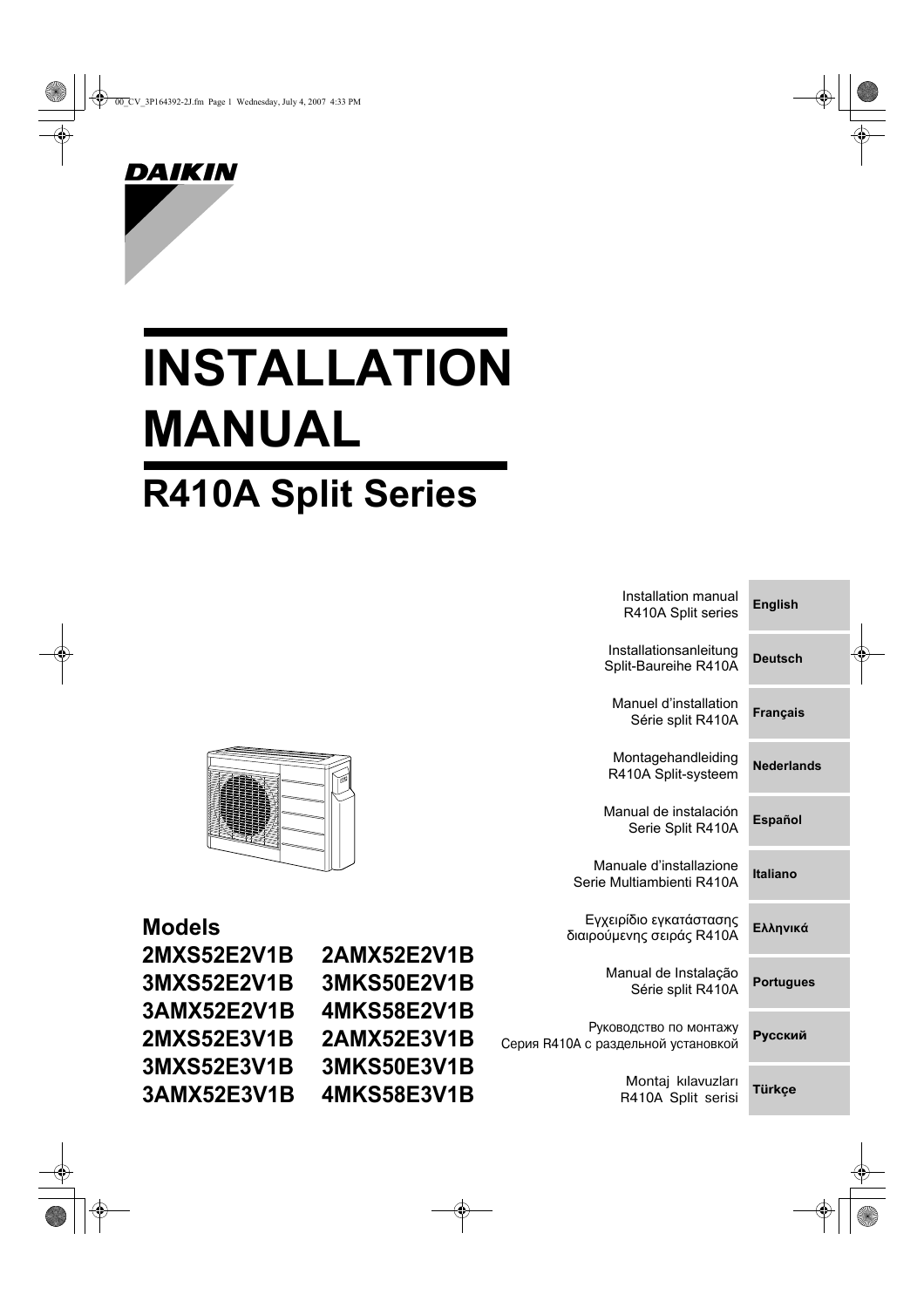

# **INSTALLATION MANUAL R410A Split Series**

|                                 | Installation manual<br>R410A Split series                     | <b>English</b>    |
|---------------------------------|---------------------------------------------------------------|-------------------|
|                                 | Installationsanleitung<br>Split-Baureihe R410A                | <b>Deutsch</b>    |
|                                 | Manuel d'installation<br>Série split R410A                    | <b>Français</b>   |
|                                 | Montagehandleiding<br>R410A Split-systeem                     | <b>Nederlands</b> |
|                                 | Manual de instalación<br>Serie Split R410A                    | <b>Español</b>    |
|                                 | Manuale d'installazione<br>Serie Multiambienti R410A          | <b>Italiano</b>   |
|                                 | Εγχειρίδιο εγκατάστασης<br>διαιρούμενης σειράς R410A          | Ελληνικά          |
| <b>2E2V1B</b><br><b>i0E2V1B</b> | Manual de Instalação<br>Série split R410A                     | <b>Portugues</b>  |
| <b>8E2V1B</b><br><b>2E3V1B</b>  | Руководство по монтажу<br>Серия R410A с раздельной установкой | <b>Русский</b>    |
| <b>i0E3V1B</b><br><b>8E3V1B</b> | Montaj kılavuzları<br>R410A Split serisi                      | <b>Türkçe</b>     |
|                                 |                                                               |                   |



| <b>Models</b>      |                |
|--------------------|----------------|
| <b>2MXS52E2V1B</b> | 2 <sub>l</sub> |
| <b>3MXS52E2V1B</b> | 31             |
| 3AMX52E2V1B        | 41             |
| <b>2MXS52E3V1B</b> | 2 <sub>l</sub> |
| <b>3MXS52E3V1B</b> | 31             |
| 3AMX52E3V1B        | 41             |
|                    |                |

AMX5 **MKS5 MKS5** AMX5 MKS5 **MKS5**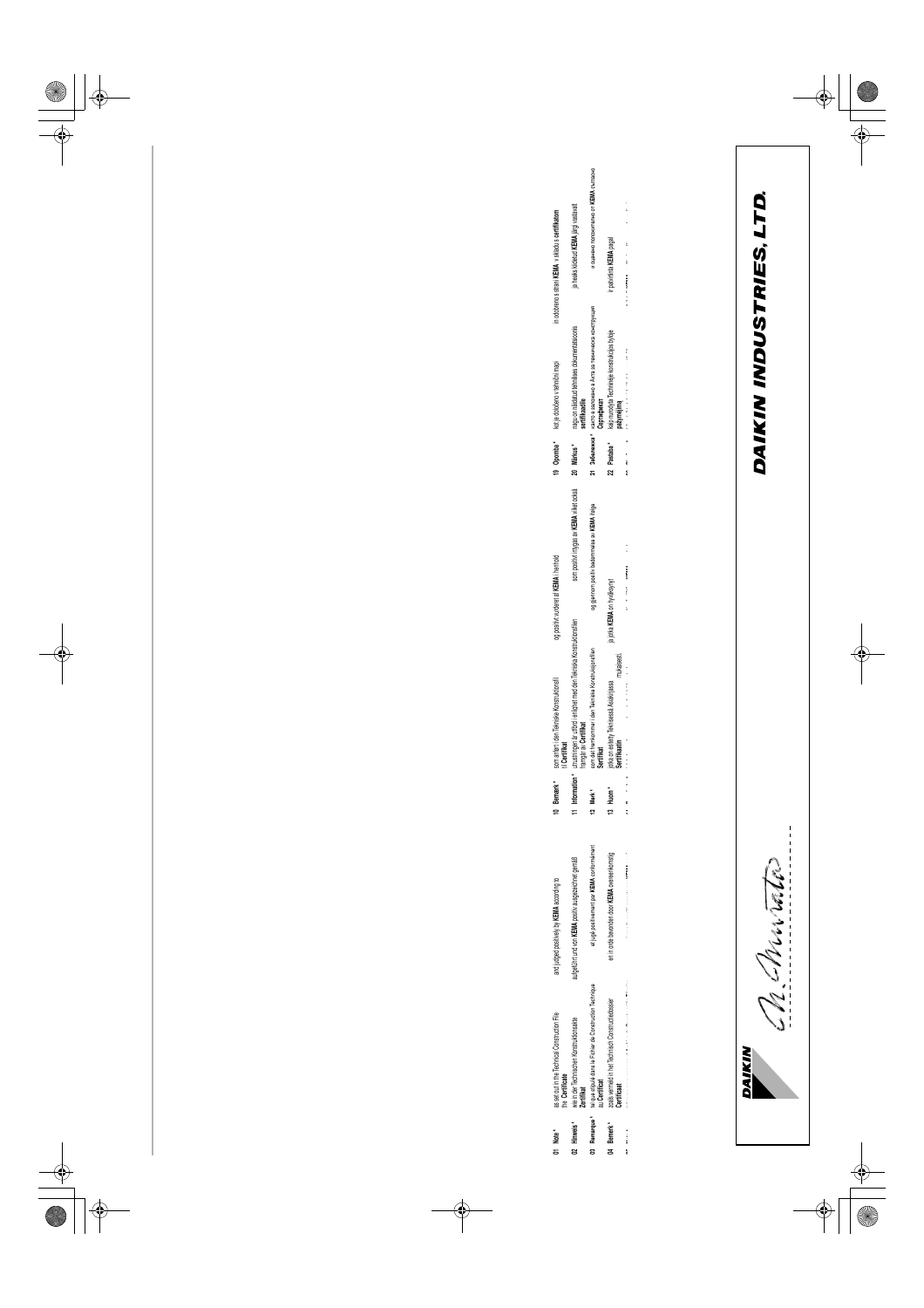| こしこしこ |  |
|-------|--|
| Ξ     |  |

2MXS52E2V1B, 2AMXS2E2V1B, 3MXS52E2V1B,<br>3MKS52E2V1B, 3AMXS2E2V1B, 4MKS58E2V1B,<br>2MXS52E3V1B, 2AMXS2E3V1B, 3MXS52E3V1B,<br>3MKS52E3V1B, 3AMXS2E3V1B, 4MKS58E3V1B 2MXS52E2V1B, 2AMX52E2V1B, 3MXS52E2V1B, 3MKS52E2V1B, 3AMX52E2V1B, 4MKS58E2V1B, 2MXS52E3V1B, 2AMX52E3V1B, 3MXS52E3V1B, 3MKS52E3V1B, 3AMX52E3V1B, 4MKS58E3V1B

2SB63475-13M

**DAIKIN INDUSTRIES, LTD.**<br>Umeda Center Bldg., 2-4-12, Nakazaki-Nishi, Umeda Center Bldg., 2-4-12, Nakazaki-Nishi, Kita-ku, Osaka, 530-8323 Japan Kita-ku, Osaka, 530-8323 Japan

Noboru Murata<br>Manager Quality Control Department<br>Shiga, 1st of Oct. 2007  $\sum_{\mathcal{B} \in \mathcal{B}} \sum_{\mathcal{B} \in \mathcal{B}} \sum_{\mathcal{B} \in \mathcal{B}} \sum_{\mathcal{B} \in \mathcal{B}} \sum_{\mathcal{B} \in \mathcal{B} \setminus \mathcal{B}} \sum_{\mathcal{B} \in \mathcal{B} \setminus \mathcal{B}} \sum_{\mathcal{B} \in \mathcal{B} \setminus \mathcal{B} \setminus \mathcal{B}} \sum_{\mathcal{B} \in \mathcal{B} \setminus \mathcal{B} \setminus \mathcal{B}} \sum_{\mathcal{B} \in \mathcal{B} \setminus \mathcal{B} \setminus \$ 

<u>Ch Murato</u>

Daikin.TCF.015 Daikin.TCF.015 Daikin.TCF.015 Daikin.TCF.015 Daikin.TCF.015 Daikin.TCF.015 Daikin.TCF.015 Daikin.TCF.015 Daikin.TCF.015 Daikin.TCF.015 Daikin.TCF.015 Daikin.TCF.015 Daikin.TCF.015 Daikin.TCF.015 74736-KRQ/EMC97-4957. 74736-KRQ/EMC97-4957. 74736-KRQ/EMC97-4957. 74736-KRQ/EMC97-4957 74736-KRQ/EMC97-4957. 74736-KRQ/EMC97-4957. 74736-KRQ/EMC97-4957. 74736-KRQ/EMC97-4957. 74736-KRQ/EMC97-4957. 74736-KRQ/EMC97-4957. 74736-KRQ/EMC97-4957 74736-KRQ/EMC97-4957. 74736-KRQ/EMC97-4957. 74736-KRQ/EMC97-4957. 74736-KRQ/EMC97-4957. 74736-KRQ/EMC97-4957. 74736-KRQ/EMC97-4957 Daikin.TCF.015

Electromagnetic Compatibility 2004/108/EC Electromagnetic Compatibility 2004/108/EC

Low Voltage 2006/95/EC Low Voltage 2006/95/EC

> Daikin.TCF.015 Daikin.TCF.015 Daikin.TCF.015 Daikin.TCF.015 Daikin.TCF.015 Daikin.TCF.015 Daikin.TCF.015<br>74736-KRQ/EMC97-4957. Daikin.TCF.015 Daikin.TCF.015 Daikin.TCF.015<br>74736-KRQ/EMC97-4957.<br>Daikin.TCF.015 Daikin.TCF.015 Daikin.TCF.015 / 4/ 35-NNJ/EWU3/ -435/.<br>74736-KRQ/EMC97-4957.<br>74736-KRQ/EMC97-4957. Daikin.TCF.015 Daikin.TCF.015 74736-KRQ/EMC97-4957. 74736-KRQ/EMC97-4957. 74736-KRQ/EMC97-4957. 74736-KRQ/EMC97-4957. 74736-KRQ/EMC97-4957. 74736-KRQ/EMC97-4957. 74736-KRQ/EMC97-4957. 74736-KRQ/EMC97-4957. 74736-KRQ/EMC97-4957. 74736-KRQ/EMC97-4957. 74736-KRQ/EMC97-4957. 74736-KRQ/EMC97-4957. 74736-KRQ/EMC97-4957. 74736-KRQ/EMC97-4957. 74736-KRQ/EMC97-4957.

Daikin.TCF.015 Daikin.TCF.015 Daikin.TCF.015 **DAIKIN** 

Daikin.TCF.015<br>74736-KRQ/EMC97-4957

Daikin.TCF.015 Daikin.TCF.015

74736-KRQ/EMC97-4957.

74736-KRQ/EMC97-4957. 74736-KRQ/EMC97-4957.

74736-KRQ/EMC97-4957.

74736-KRQ/EMC97-4957.

74736-KRQ/EMC97-4957.

74736-KRQ/EMC97-4957. 74736-KRQ/EMC97-4957.

Daikin.TCF.015

Daikin.TCF.015

Daikin.TCF.015

Daikin.TCF.015

74736-KRQ/EMC97-4957

74736-KRQ/EMC97-4957

Daikin.TCF.015

Daikin.TCF.015

Daikin.TCF.015

Daikin.TCF.015

Daikin.TCF.015

Daikin.TCF.015

74736-KRQ/EMC97-4957. 74736-KRQ/EMC97-4957.

Daikin.TCF.015 Daikin.TCF.015 Daikin.TCF.015 Daikin.TCF.015 74736-KRQ/EMC97-4957. 74736-KRQ/EMC97-4957.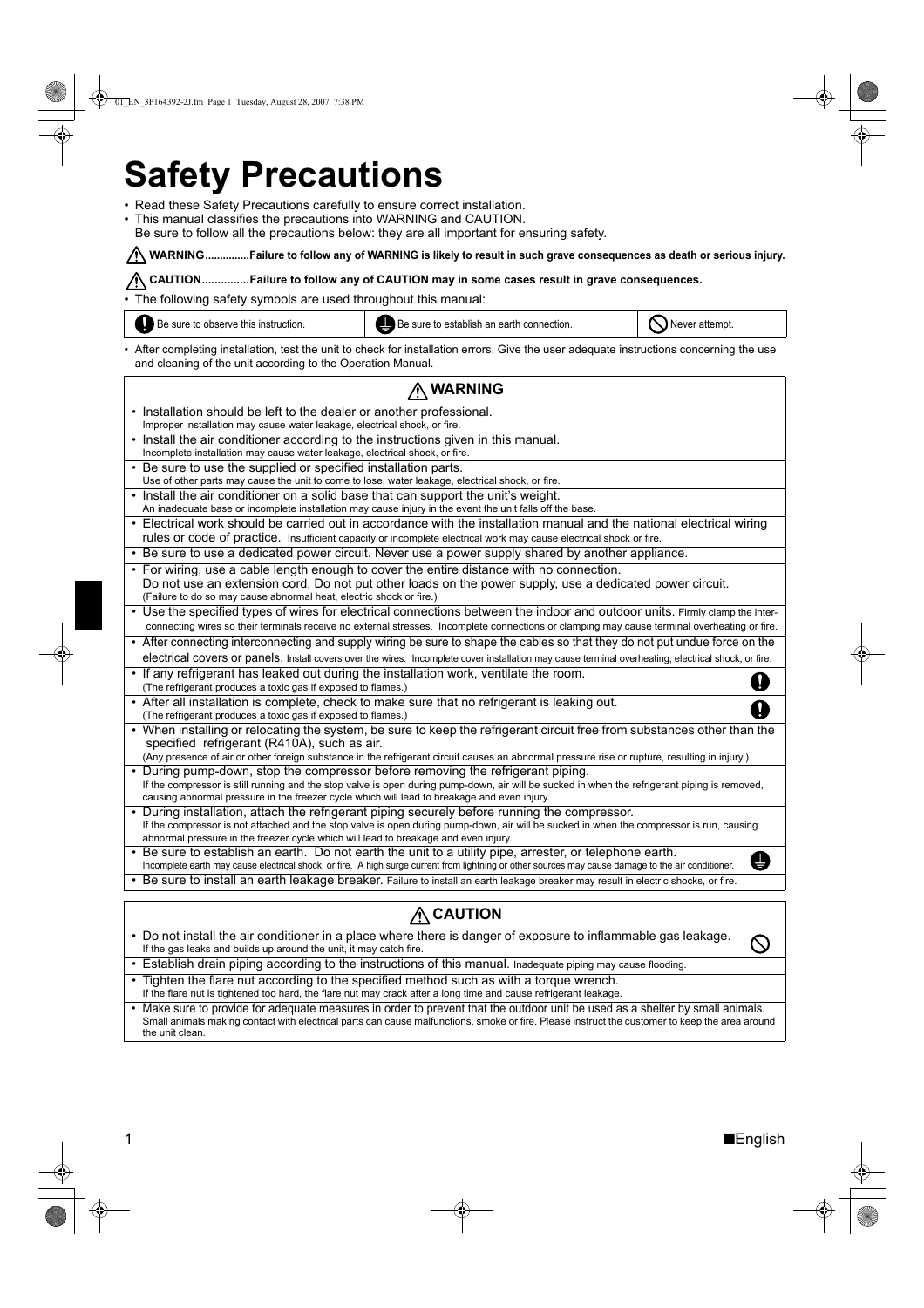# **Safety Precautions**

- Read these Safety Precautions carefully to ensure correct installation.
- This manual classifies the precautions into WARNING and CAUTION.
- Be sure to follow all the precautions below: they are all important for ensuring safety.

### WARNING...............Failure to follow any of WARNING is likely to result in such grave consequences as death or serious injury.

### **CAUTION...............Failure to follow any of CAUTION may in some cases result in grave consequences.**

• The following safety symbols are used throughout this manual:



• After completing installation, test the unit to check for installation errors. Give the user adequate instructions concerning the use and cleaning of the unit according to the Operation Manual.

| ∧ WARNING                                                                                                                                                                                                                                                                                                                       |  |  |
|---------------------------------------------------------------------------------------------------------------------------------------------------------------------------------------------------------------------------------------------------------------------------------------------------------------------------------|--|--|
|                                                                                                                                                                                                                                                                                                                                 |  |  |
| • Installation should be left to the dealer or another professional.<br>Improper installation may cause water leakage, electrical shock, or fire.                                                                                                                                                                               |  |  |
| • Install the air conditioner according to the instructions given in this manual.<br>Incomplete installation may cause water leakage, electrical shock, or fire.                                                                                                                                                                |  |  |
| • Be sure to use the supplied or specified installation parts.<br>Use of other parts may cause the unit to come to lose, water leakage, electrical shock, or fire.                                                                                                                                                              |  |  |
| • Install the air conditioner on a solid base that can support the unit's weight.<br>An inadequate base or incomplete installation may cause injury in the event the unit falls off the base.                                                                                                                                   |  |  |
| • Electrical work should be carried out in accordance with the installation manual and the national electrical wiring<br>rules or code of practice. Insufficient capacity or incomplete electrical work may cause electrical shock or fire.                                                                                     |  |  |
| . Be sure to use a dedicated power circuit. Never use a power supply shared by another appliance.                                                                                                                                                                                                                               |  |  |
| • For wiring, use a cable length enough to cover the entire distance with no connection.<br>Do not use an extension cord. Do not put other loads on the power supply, use a dedicated power circuit.<br>(Failure to do so may cause abnormal heat, electric shock or fire.)                                                     |  |  |
| • Use the specified types of wires for electrical connections between the indoor and outdoor units. Firmly clamp the inter-<br>connecting wires so their terminals receive no external stresses. Incomplete connections or clamping may cause terminal overheating or fire.                                                     |  |  |
| • After connecting interconnecting and supply wiring be sure to shape the cables so that they do not put undue force on the<br>electrical covers or panels. Install covers over the wires. Incomplete cover installation may cause terminal overheating, electrical shock, or fire.                                             |  |  |
| • If any refrigerant has leaked out during the installation work, ventilate the room.<br>Î<br>(The refrigerant produces a toxic gas if exposed to flames.)                                                                                                                                                                      |  |  |
| • After all installation is complete, check to make sure that no refrigerant is leaking out.<br>(The refrigerant produces a toxic gas if exposed to flames.)                                                                                                                                                                    |  |  |
| • When installing or relocating the system, be sure to keep the refrigerant circuit free from substances other than the<br>specified refrigerant (R410A), such as air.<br>(Any presence of air or other foreign substance in the refrigerant circuit causes an abnormal pressure rise or rupture, resulting in injury.)         |  |  |
| • During pump-down, stop the compressor before removing the refrigerant piping.<br>If the compressor is still running and the stop valve is open during pump-down, air will be sucked in when the refrigerant piping is removed,<br>causing abnormal pressure in the freezer cycle which will lead to breakage and even injury. |  |  |
| • During installation, attach the refrigerant piping securely before running the compressor.<br>If the compressor is not attached and the stop valve is open during pump-down, air will be sucked in when the compressor is run, causing<br>abnormal pressure in the freezer cycle which will lead to breakage and even injury. |  |  |
| • Be sure to establish an earth. Do not earth the unit to a utility pipe, arrester, or telephone earth.<br>U<br>Incomplete earth may cause electrical shock, or fire. A high surge current from lightning or other sources may cause damage to the air conditioner.                                                             |  |  |
| . Be sure to install an earth leakage breaker. Failure to install an earth leakage breaker may result in electric shocks, or fire.                                                                                                                                                                                              |  |  |
| <b>CAUTION</b>                                                                                                                                                                                                                                                                                                                  |  |  |
| • Do not install the air conditioner in a place where there is danger of exposure to inflammable gas leakage.                                                                                                                                                                                                                   |  |  |
| If the gas leaks and builds up around the unit, it may catch fire.                                                                                                                                                                                                                                                              |  |  |
| • Establish drain piping according to the instructions of this manual. Inadequate piping may cause flooding.                                                                                                                                                                                                                    |  |  |
| • Tighten the flare nut according to the specified method such as with a torque wrench.<br>If the flare nut is tightened too hard, the flare nut may crack after a long time and cause refrigerant leakage.                                                                                                                     |  |  |
| • Make sure to provide for adequate measures in order to prevent that the outdoor unit be used as a shelter by small animals.<br>Small animals making contact with electrical parts can cause malfunctions, smoke or fire. Please instruct the customer to keep the area around<br>the unit clean.                              |  |  |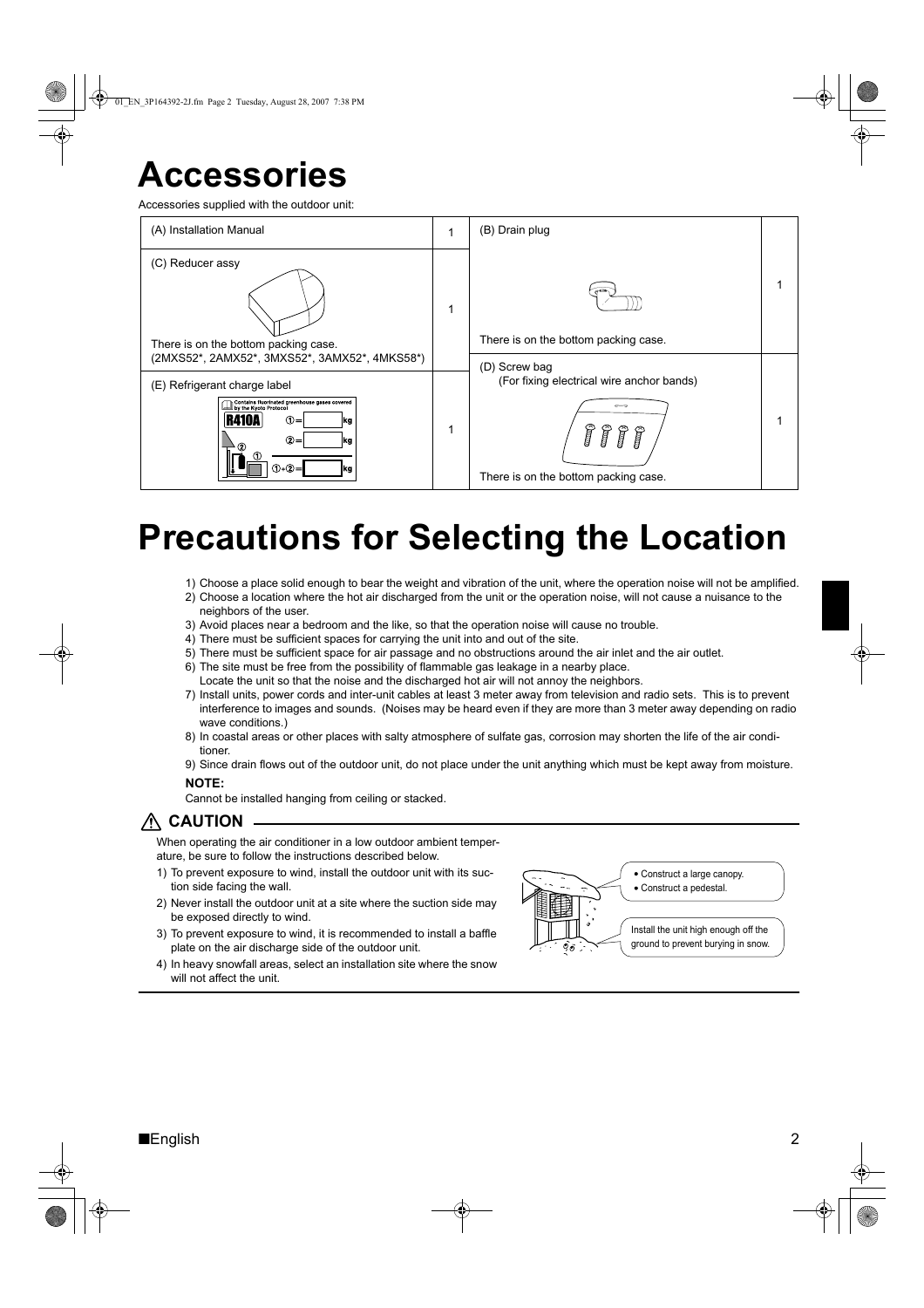## **Accessories**

Accessories supplied with the outdoor unit:



# **Precautions for Selecting the Location**

- 1) Choose a place solid enough to bear the weight and vibration of the unit, where the operation noise will not be amplified.
- 2) Choose a location where the hot air discharged from the unit or the operation noise, will not cause a nuisance to the neighbors of the user.
- 3) Avoid places near a bedroom and the like, so that the operation noise will cause no trouble.
- 4) There must be sufficient spaces for carrying the unit into and out of the site.
- 5) There must be sufficient space for air passage and no obstructions around the air inlet and the air outlet.
- 6) The site must be free from the possibility of flammable gas leakage in a nearby place.
- Locate the unit so that the noise and the discharged hot air will not annoy the neighbors.
- 7) Install units, power cords and inter-unit cables at least 3 meter away from television and radio sets. This is to prevent interference to images and sounds. (Noises may be heard even if they are more than 3 meter away depending on radio wave conditions.)
- 8) In coastal areas or other places with salty atmosphere of sulfate gas, corrosion may shorten the life of the air conditioner.
- 9) Since drain flows out of the outdoor unit, do not place under the unit anything which must be kept away from moisture.

#### **NOTE:**

Cannot be installed hanging from ceiling or stacked.

## **CAUTION**

When operating the air conditioner in a low outdoor ambient temperature, be sure to follow the instructions described below.

- 1) To prevent exposure to wind, install the outdoor unit with its suction side facing the wall.
- 2) Never install the outdoor unit at a site where the suction side may be exposed directly to wind.
- 3) To prevent exposure to wind, it is recommended to install a baffle plate on the air discharge side of the outdoor unit.
- 4) In heavy snowfall areas, select an installation site where the snow will not affect the unit.

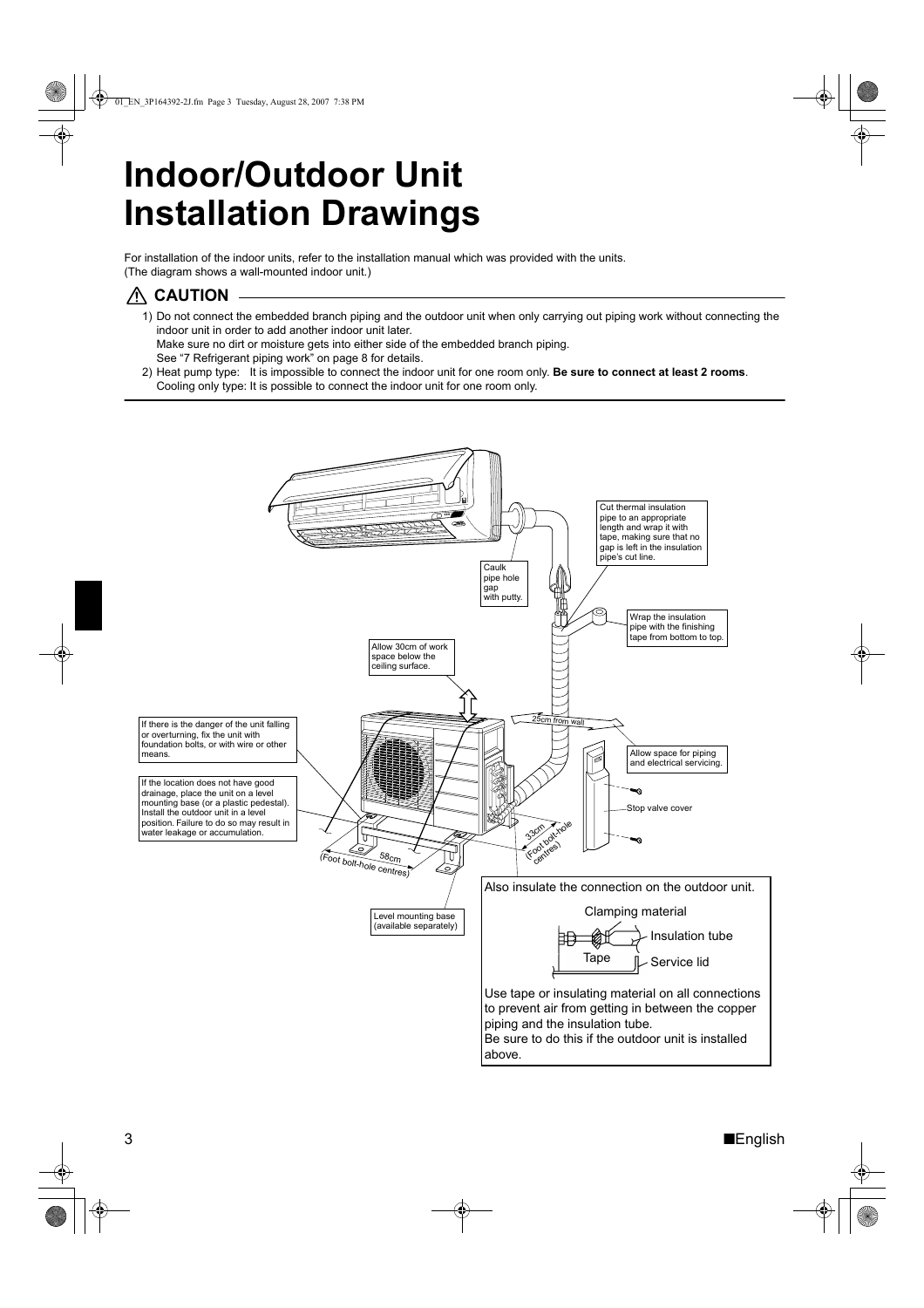# **Indoor/Outdoor Unit Installation Drawings**

For installation of the indoor units, refer to the installation manual which was provided with the units. (The diagram shows a wall-mounted indoor unit.)

### **CAUTION**

1) Do not connect the embedded branch piping and the outdoor unit when only carrying out piping work without connecting the indoor unit in order to add another indoor unit later. Make sure no dirt or moisture gets into either side of the embedded branch piping.

See "7 Refrigerant piping work" on page 8 for details.

2) Heat pump type: It is impossible to connect the indoor unit for one room only. **Be sure to connect at least 2 rooms**. Cooling only type: It is possible to connect the indoor unit for one room only.

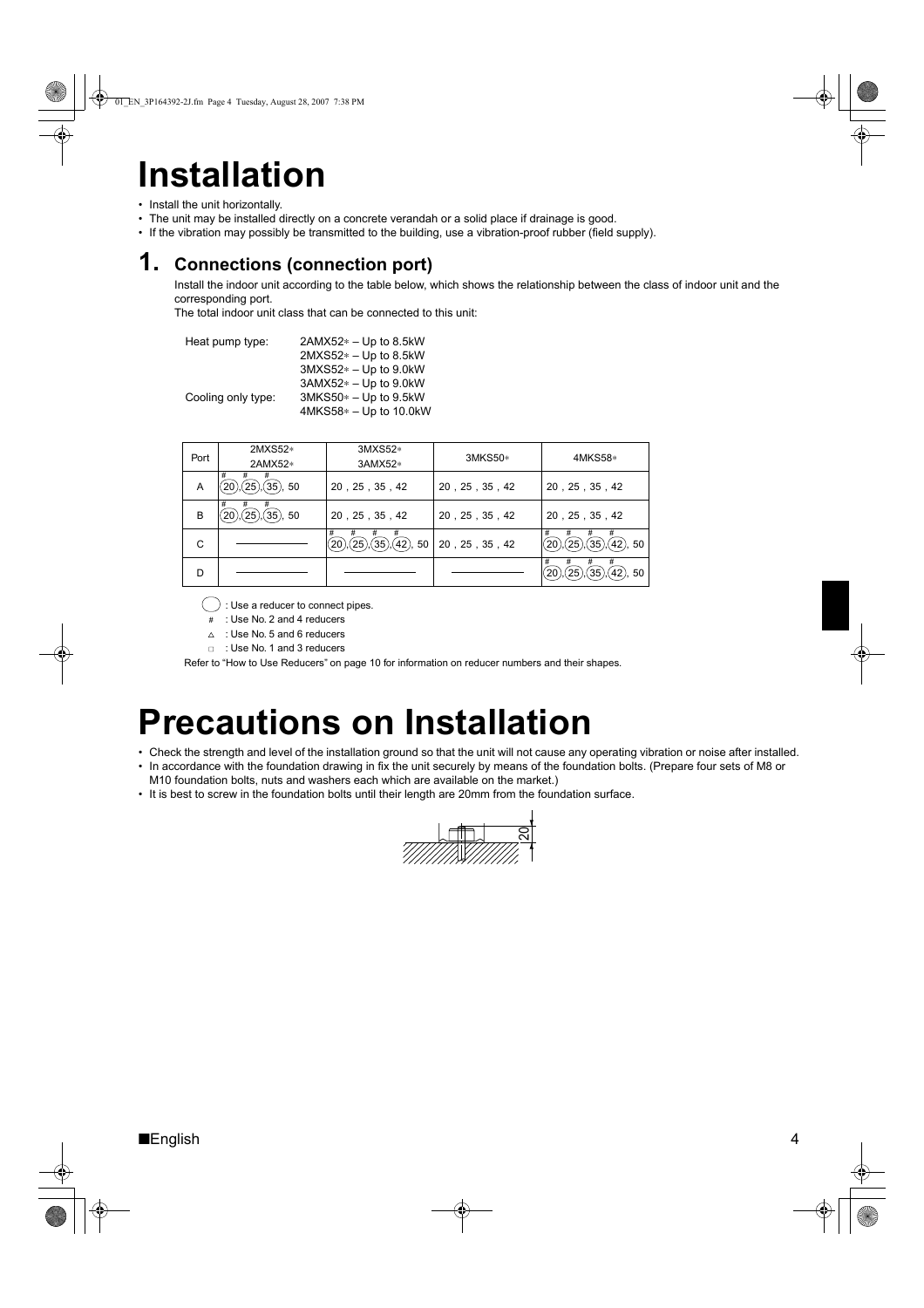# **Installation**

- Install the unit horizontally.
- The unit may be installed directly on a concrete verandah or a solid place if drainage is good.
- If the vibration may possibly be transmitted to the building, use a vibration-proof rubber (field supply).

## **1. Connections (connection port)**

Install the indoor unit according to the table below, which shows the relationship between the class of indoor unit and the corresponding port.

The total indoor unit class that can be connected to this unit:

| Heat pump type:    | $2AMX52* - Up to 8.5kW$  |
|--------------------|--------------------------|
|                    | $2MXS52* - Up to 8.5kW$  |
|                    | $3MXS52* - Up to 9.0kW$  |
|                    | $3AMX52* - Up to 9.0kW$  |
| Cooling only type: | $3MKS50* - Up to 9.5kW$  |
|                    | $4MKS58* - Up to 10.0kW$ |

| Port | 2MXS52*<br>2AMX52*               | 3MXS52*<br>3AMX52*             | 3MKS50*        | 4MKS58*                                                  |
|------|----------------------------------|--------------------------------|----------------|----------------------------------------------------------|
| A    | #<br>#<br>#<br>$(35)$ , 50<br>25 | 20, 25, 35, 42                 | 20, 25, 35, 42 | 20, 25, 35, 42                                           |
| B    | #<br>#<br>#<br>$(35)$ , 50<br>25 | 20, 25, 35, 42                 | 20, 25, 35, 42 | 20, 25, 35, 42                                           |
| C    |                                  | #<br>#<br>(25)<br>(35),(42),50 | 20, 25, 35, 42 | #<br>#<br>#<br>(35)<br>25 <sup>2</sup><br>$(42)$ , 50    |
| D    |                                  |                                |                | #<br>#<br>#<br>#<br>25<br>35 <sup>2</sup><br>$(42)$ , 50 |

: Use a reducer to connect pipes.

- : Use No. 2 and 4 reducers #
- $\triangle$  : Use No. 5 and 6 reducers
- □ : Use No. 1 and 3 reducers

Refer to "How to Use Reducers" on page 10 for information on reducer numbers and their shapes.

# **Precautions on Installation**

- Check the strength and level of the installation ground so that the unit will not cause any operating vibration or noise after installed. • In accordance with the foundation drawing in fix the unit securely by means of the foundation bolts. (Prepare four sets of M8 or
- M10 foundation bolts, nuts and washers each which are available on the market.)
- It is best to screw in the foundation bolts until their length are 20mm from the foundation surface.

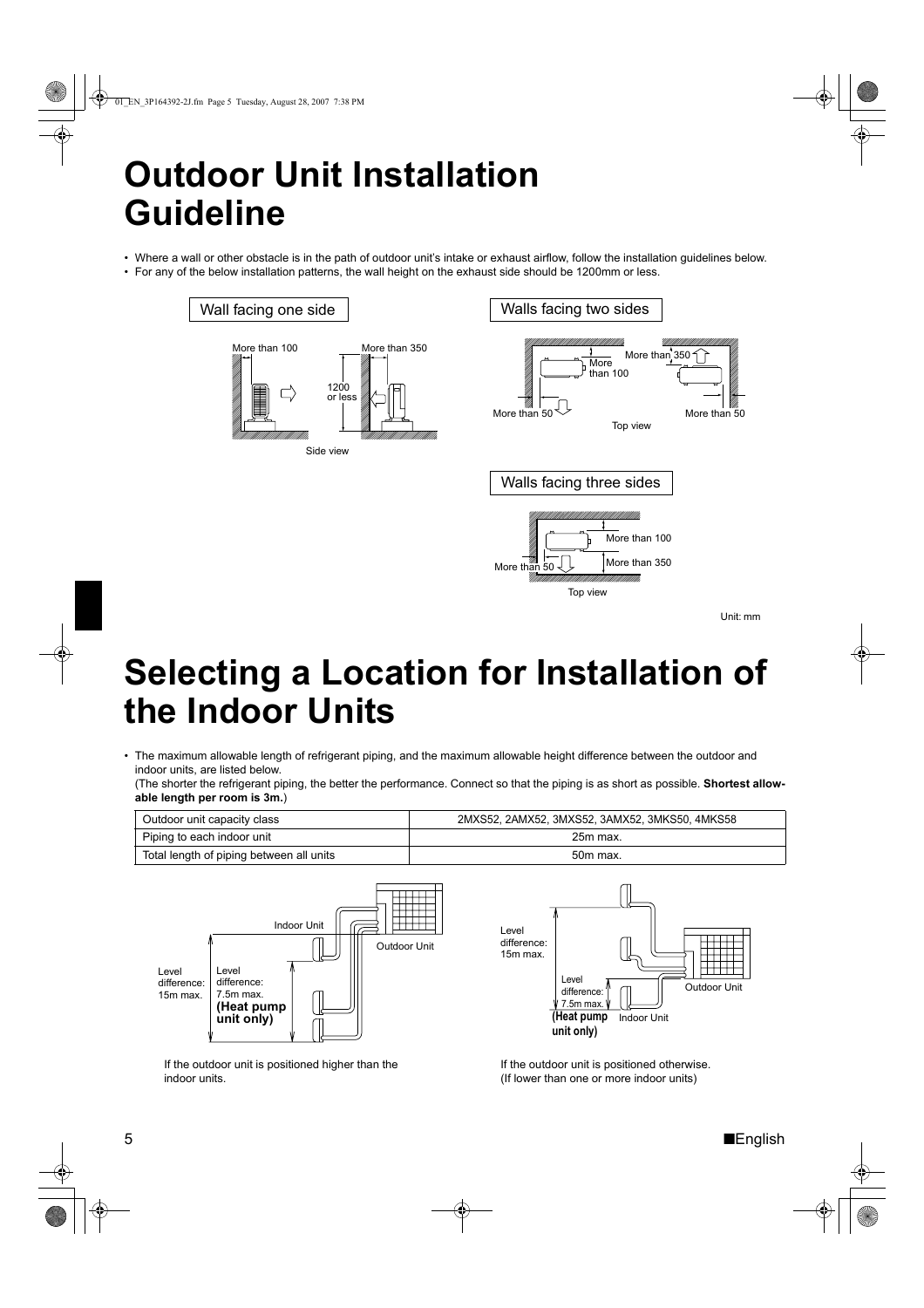# **Outdoor Unit Installation Guideline**

• Where a wall or other obstacle is in the path of outdoor unit's intake or exhaust airflow, follow the installation guidelines below. • For any of the below installation patterns, the wall height on the exhaust side should be 1200mm or less.

### Wall facing one side



Walls facing two sides



Unit: mm

# **Selecting a Location for Installation of the Indoor Units**

• The maximum allowable length of refrigerant piping, and the maximum allowable height difference between the outdoor and indoor units, are listed below.

(The shorter the refrigerant piping, the better the performance. Connect so that the piping is as short as possible. **Shortest allowable length per room is 3m.**)

| Outdoor unit capacity class              | 2MXS52, 2AMX52, 3MXS52, 3AMX52, 3MKS50, 4MKS58 |
|------------------------------------------|------------------------------------------------|
| Piping to each indoor unit               | 25m max.                                       |
| Total length of piping between all units | 50m max.                                       |





If the outdoor unit is positioned higher than the indoor units.

If the outdoor unit is positioned otherwise. (If lower than one or more indoor units)

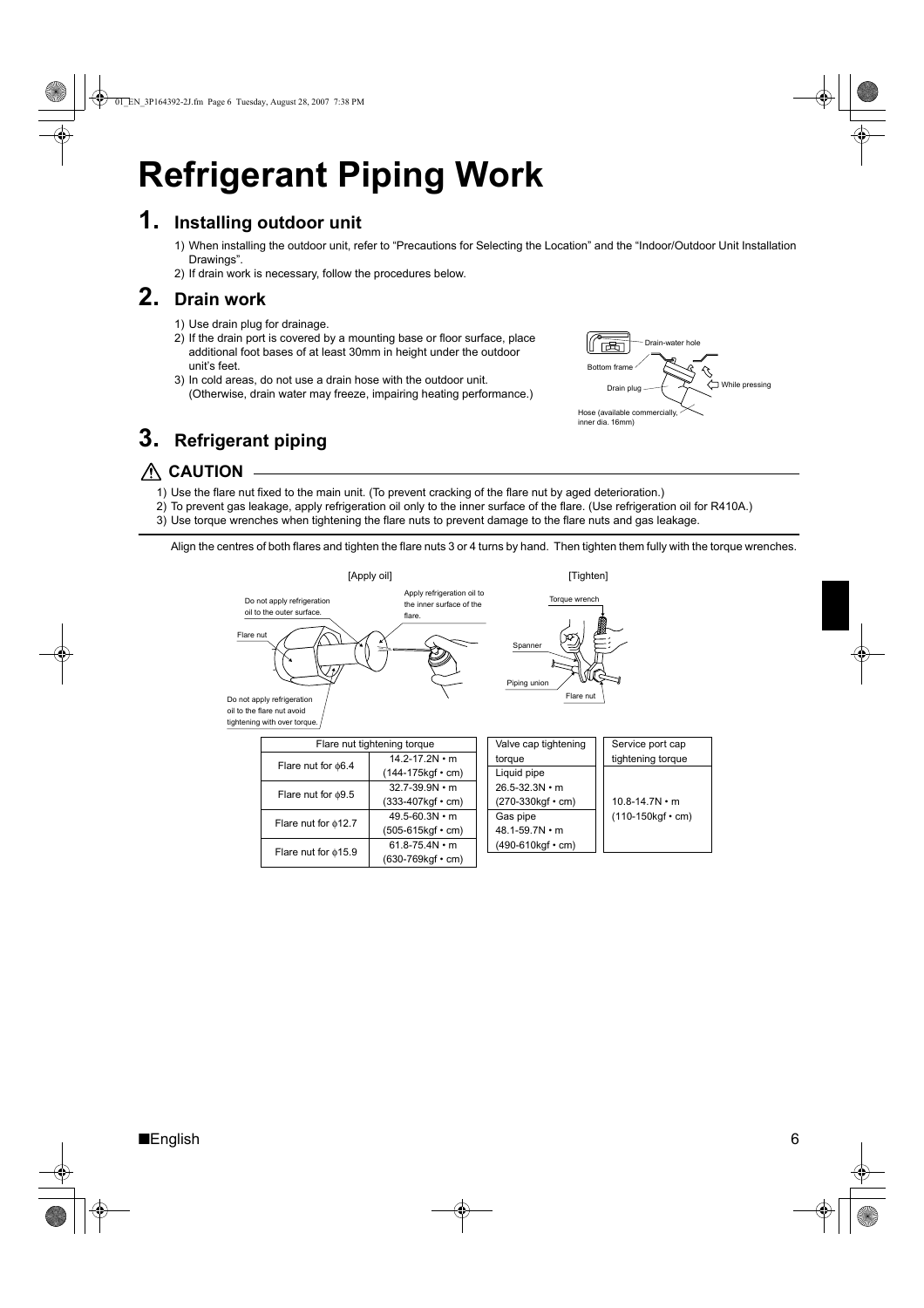# **Refrigerant Piping Work**

## **1. Installing outdoor unit**

1) When installing the outdoor unit, refer to "Precautions for Selecting the Location" and the "Indoor/Outdoor Unit Installation Drawings".

Drain-water hole

Drain plug  $\leftarrow$   $\leftarrow$   $\leftarrow$  While pressing

Bottom frame

闽

Hose (available commercially, inner dia. 16mm)

2) If drain work is necessary, follow the procedures below.

## **2. Drain work**

- 1) Use drain plug for drainage.
- 2) If the drain port is covered by a mounting base or floor surface, place additional foot bases of at least 30mm in height under the outdoor unit's feet.
- 3) In cold areas, do not use a drain hose with the outdoor unit. (Otherwise, drain water may freeze, impairing heating performance.)

## **3. Refrigerant piping**



- 1) Use the flare nut fixed to the main unit. (To prevent cracking of the flare nut by aged deterioration.)
- 2) To prevent gas leakage, apply refrigeration oil only to the inner surface of the flare. (Use refrigeration oil for R410A.)
- 3) Use torque wrenches when tightening the flare nuts to prevent damage to the flare nuts and gas leakage.

Align the centres of both flares and tighten the flare nuts 3 or 4 turns by hand. Then tighten them fully with the torque wrenches.

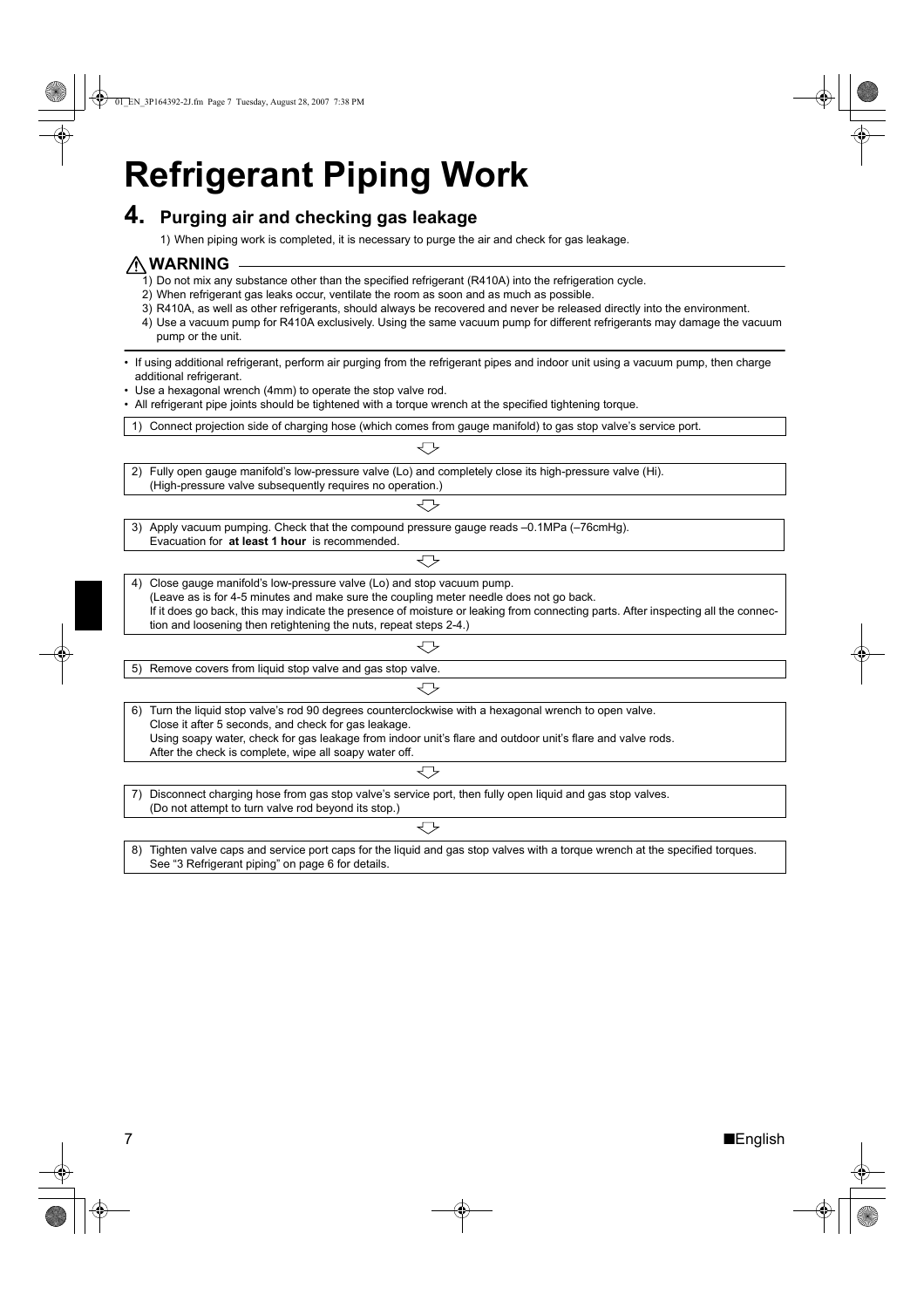# **Refrigerant Piping Work**

### **4. Purging air and checking gas leakage**

1) When piping work is completed, it is necessary to purge the air and check for gas leakage.

### **WARNING**

- 1) Do not mix any substance other than the specified refrigerant (R410A) into the refrigeration cycle.
- 2) When refrigerant gas leaks occur, ventilate the room as soon and as much as possible.
- 3) R410A, as well as other refrigerants, should always be recovered and never be released directly into the environment.
- 4) Use a vacuum pump for R410A exclusively. Using the same vacuum pump for different refrigerants may damage the vacuum pump or the unit.

#### • If using additional refrigerant, perform air purging from the refrigerant pipes and indoor unit using a vacuum pump, then charge additional refrigerant.

- Use a hexagonal wrench (4mm) to operate the stop valve rod.
- All refrigerant pipe joints should be tightened with a torque wrench at the specified tightening torque.
- 1) Connect projection side of charging hose (which comes from gauge manifold) to gas stop valve's service port.

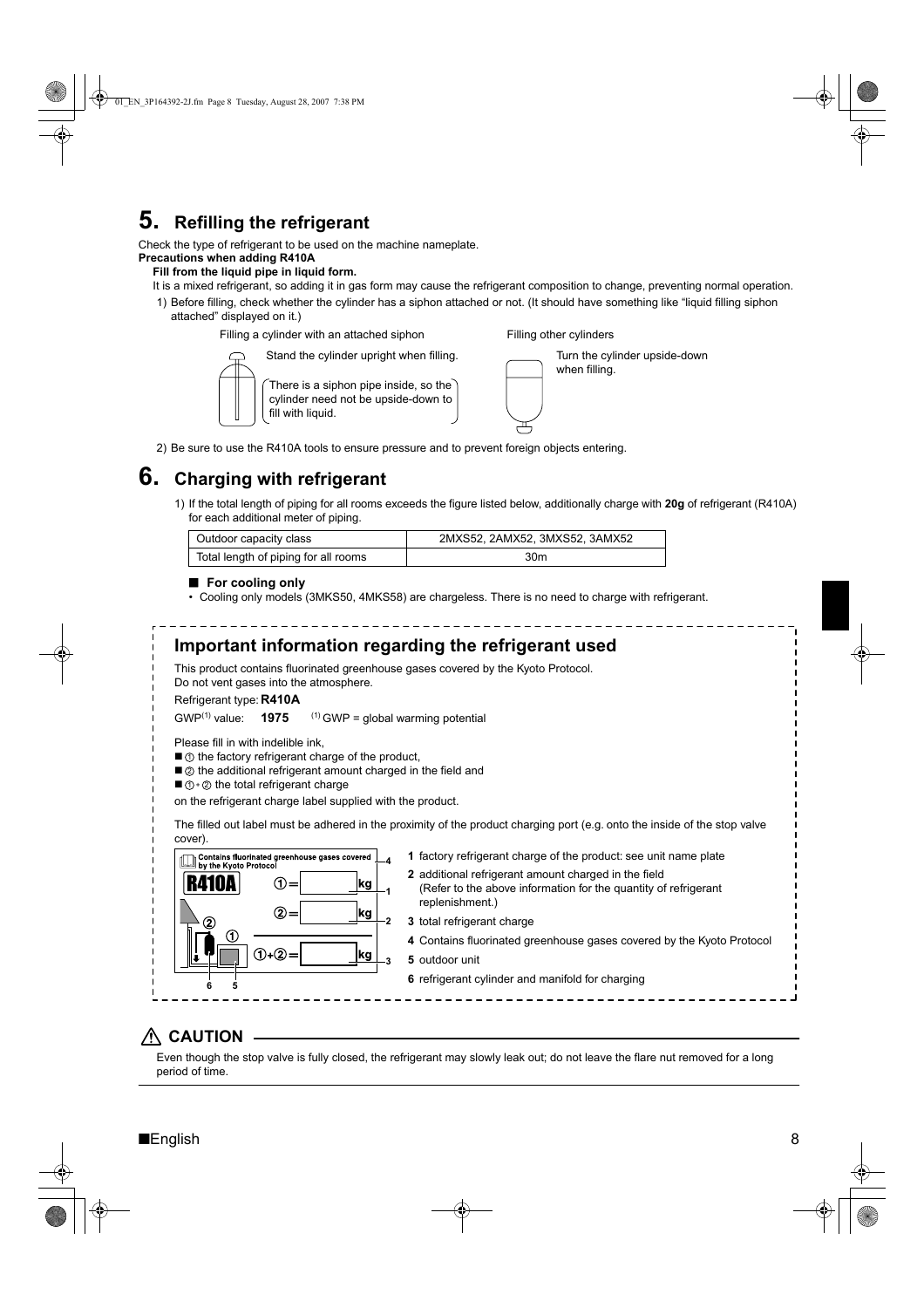## **5. Refilling the refrigerant**

Check the type of refrigerant to be used on the machine nameplate.

### **Precautions when adding R410A**

### **Fill from the liquid pipe in liquid form.**

It is a mixed refrigerant, so adding it in gas form may cause the refrigerant composition to change, preventing normal operation.

1) Before filling, check whether the cylinder has a siphon attached or not. (It should have something like "liquid filling siphon attached" displayed on it.)

Filling a cylinder with an attached siphon



There is a siphon pipe inside, so the cylinder need not be upside-down to fill with liquid.

Stand the cylinder upright when filling.

| Turn the cylinder upside-down<br>when filling. |
|------------------------------------------------|
|                                                |

Filling other cylinders

2) Be sure to use the R410A tools to ensure pressure and to prevent foreign objects entering.

## **6. Charging with refrigerant**

1) If the total length of piping for all rooms exceeds the figure listed below, additionally charge with **20g** of refrigerant (R410A) for each additional meter of piping.

| Outdoor capacity class               | 2MXS52, 2AMX52, 3MXS52, 3AMX52 |
|--------------------------------------|--------------------------------|
| Total length of piping for all rooms | 30m                            |

### ■ **For cooling only**

• Cooling only models (3MKS50, 4MKS58) are chargeless. There is no need to charge with refrigerant.

#### **Important information regarding the refrigerant used** This product contains fluorinated greenhouse gases covered by the Kyoto Protocol. Do not vent gases into the atmosphere. Refrigerant type: **R410A** GWP<sup>(1)</sup> value: **1975**  $(1)$  GWP = global warming potential Please fill in with indelible ink,  $\blacksquare$   $\odot$  the factory refrigerant charge of the product,  $\blacksquare$   $\oslash$  the additional refrigerant amount charged in the field and  $\Box$   $\Diamond$  +  $\oslash$  the total refrigerant charge on the refrigerant charge label supplied with the product. The filled out label must be adhered in the proximity of the product charging port (e.g. onto the inside of the stop valve cover). **1** factory refrigerant charge of the product: see unit name plate Contains fluorinated greenhouse gases covered<br>
by the Kyoto Protocol **4 2** additional refrigerant amount charged in the field ①: kg (Refer to the above information for the quantity of refrigerant **1** replenishment.)  $(2)$ : kg **2 3** total refrigerant charge **4** Contains fluorinated greenhouse gases covered by the Kyoto Protocol  $(1) + (2)$ kg **5** outdoor unit **3 6** refrigerant cylinder and manifold for charging **6 5**

## **CAUTION**

Even though the stop valve is fully closed, the refrigerant may slowly leak out; do not leave the flare nut removed for a long period of time.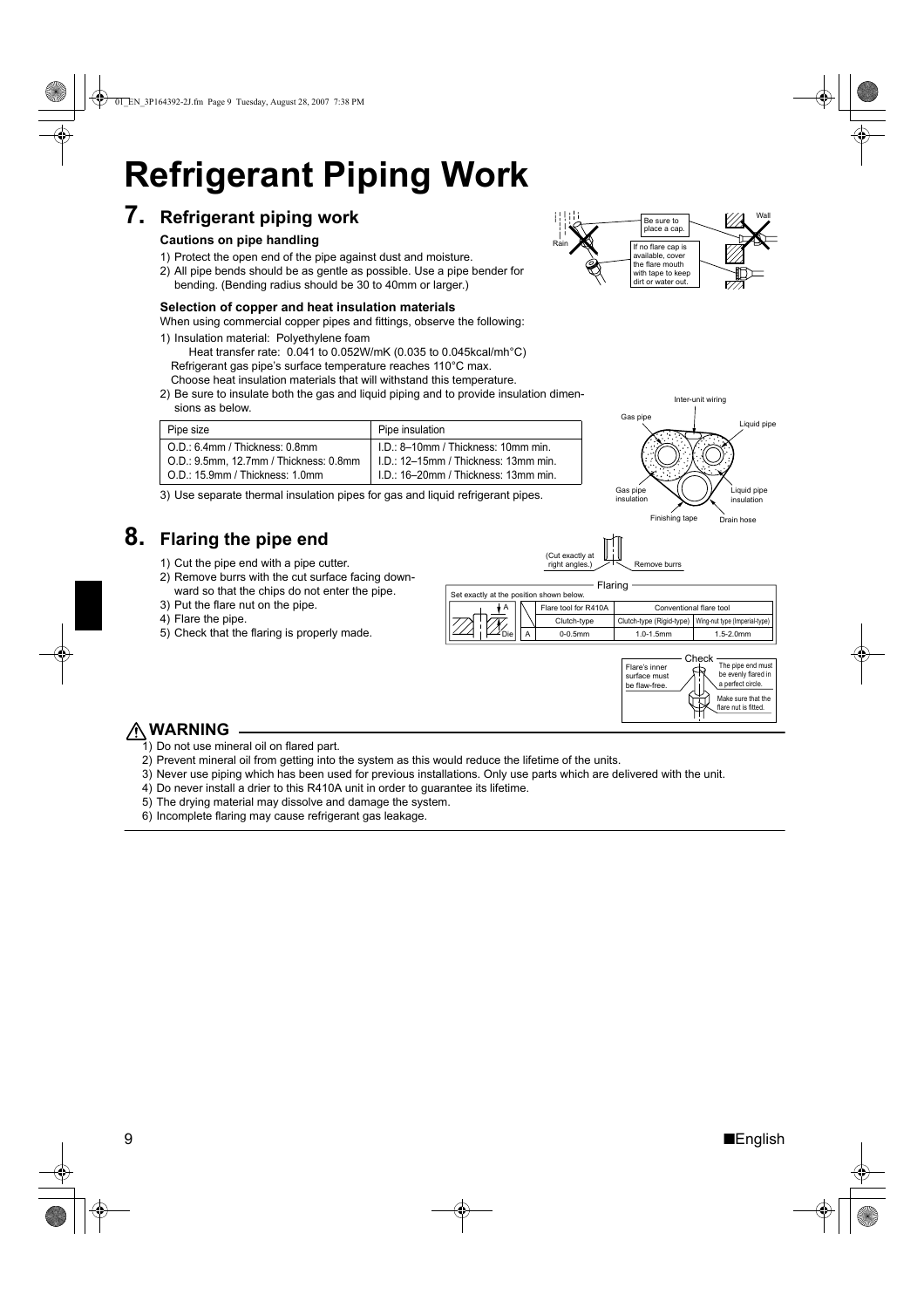# **Refrigerant Piping Work**

## **7. Refrigerant piping work**

### **Cautions on pipe handling**

- 1) Protect the open end of the pipe against dust and moisture.
- 2) All pipe bends should be as gentle as possible. Use a pipe bender for bending. (Bending radius should be 30 to 40mm or larger.)

### **Selection of copper and heat insulation materials**

When using commercial copper pipes and fittings, observe the following:

1) Insulation material: Polyethylene foam

Heat transfer rate: 0.041 to 0.052W/mK (0.035 to 0.045kcal/mh°C) Refrigerant gas pipe's surface temperature reaches 110°C max. Choose heat insulation materials that will withstand this temperature.

2) Be sure to insulate both the gas and liquid piping and to provide insulation dimensions as below.

| Pipe size                              | Pipe insulation                        |  |
|----------------------------------------|----------------------------------------|--|
| O.D.: 6.4mm / Thickness: 0.8mm         | I.D.: 8-10mm / Thickness: 10mm min.    |  |
| O.D.: 9.5mm, 12.7mm / Thickness: 0.8mm | $I.D.: 12-15mm / Thickness: 13mm min.$ |  |
| O.D.: 15.9mm / Thickness: 1.0mm        | I.D.: 16–20mm / Thickness: 13mm min.   |  |

3) Use separate thermal insulation pipes for gas and liquid refrigerant pipes.

## **8. Flaring the pipe end**

- 1) Cut the pipe end with a pipe cutter.
- 2) Remove burrs with the cut surface facing downward so that the chips do not enter the pipe.
- 3) Put the flare nut on the pipe.
- 4) Flare the pipe.
- 5) Check that the flaring is properly made.







right angles.)  $\nabla \sim$  Remove burrs

(Cut exactly



## **WARNING**

- 1) Do not use mineral oil on flared part.
- 2) Prevent mineral oil from getting into the system as this would reduce the lifetime of the units.
- 3) Never use piping which has been used for previous installations. Only use parts which are delivered with the unit.
- 4) Do never install a drier to this R410A unit in order to guarantee its lifetime.
- 5) The drying material may dissolve and damage the system.
- 6) Incomplete flaring may cause refrigerant gas leakage.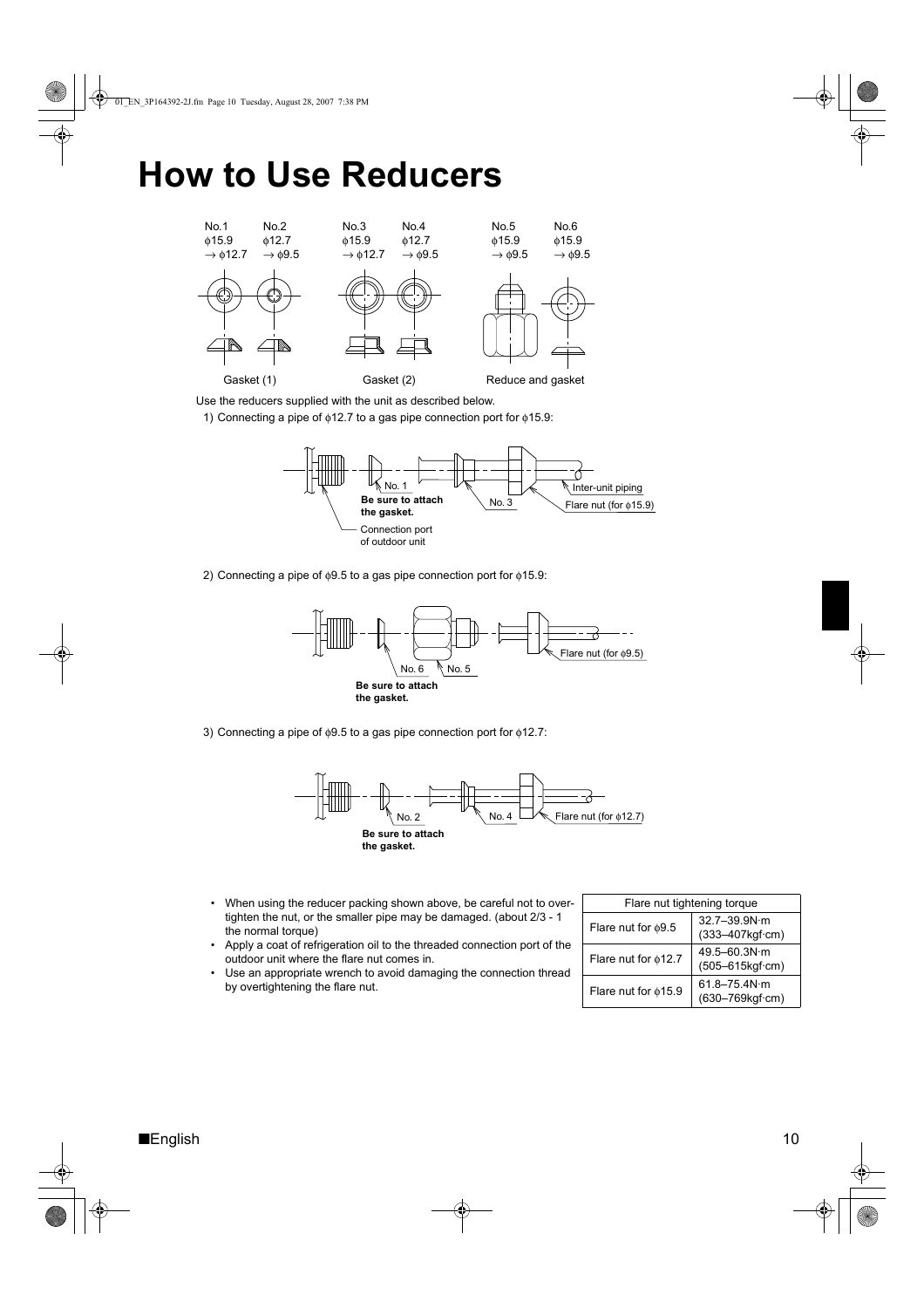# **How to Use Reducers**



Use the reducers supplied with the unit as described below.

1) Connecting a pipe of φ12.7 to a gas pipe connection port for φ15.9:



2) Connecting a pipe of  $\phi$ 9.5 to a gas pipe connection port for  $\phi$ 15.9:



3) Connecting a pipe of φ9.5 to a gas pipe connection port for φ12.7:



- When using the reducer packing shown above, be careful not to overtighten the nut, or the smaller pipe may be damaged. (about 2/3 - 1 the normal torque)
- Apply a coat of refrigeration oil to the threaded connection port of the outdoor unit where the flare nut comes in.
- Use an appropriate wrench to avoid damaging the connection thread by overtightening the flare nut.

| Flare nut tightening torque |                                            |  |  |
|-----------------------------|--------------------------------------------|--|--|
| Flare nut for $\phi$ 9.5    | $32.7 - 39.9N \cdot m$<br>(333-407kgf·cm)  |  |  |
| Flare nut for \$12.7        | $49.5 - 60.3N \cdot m$<br>(505-615kgf·cm)  |  |  |
| Flare nut for $\phi$ 15.9   | $61.8 - 75.4 N \cdot m$<br>(630-769kgf·cm) |  |  |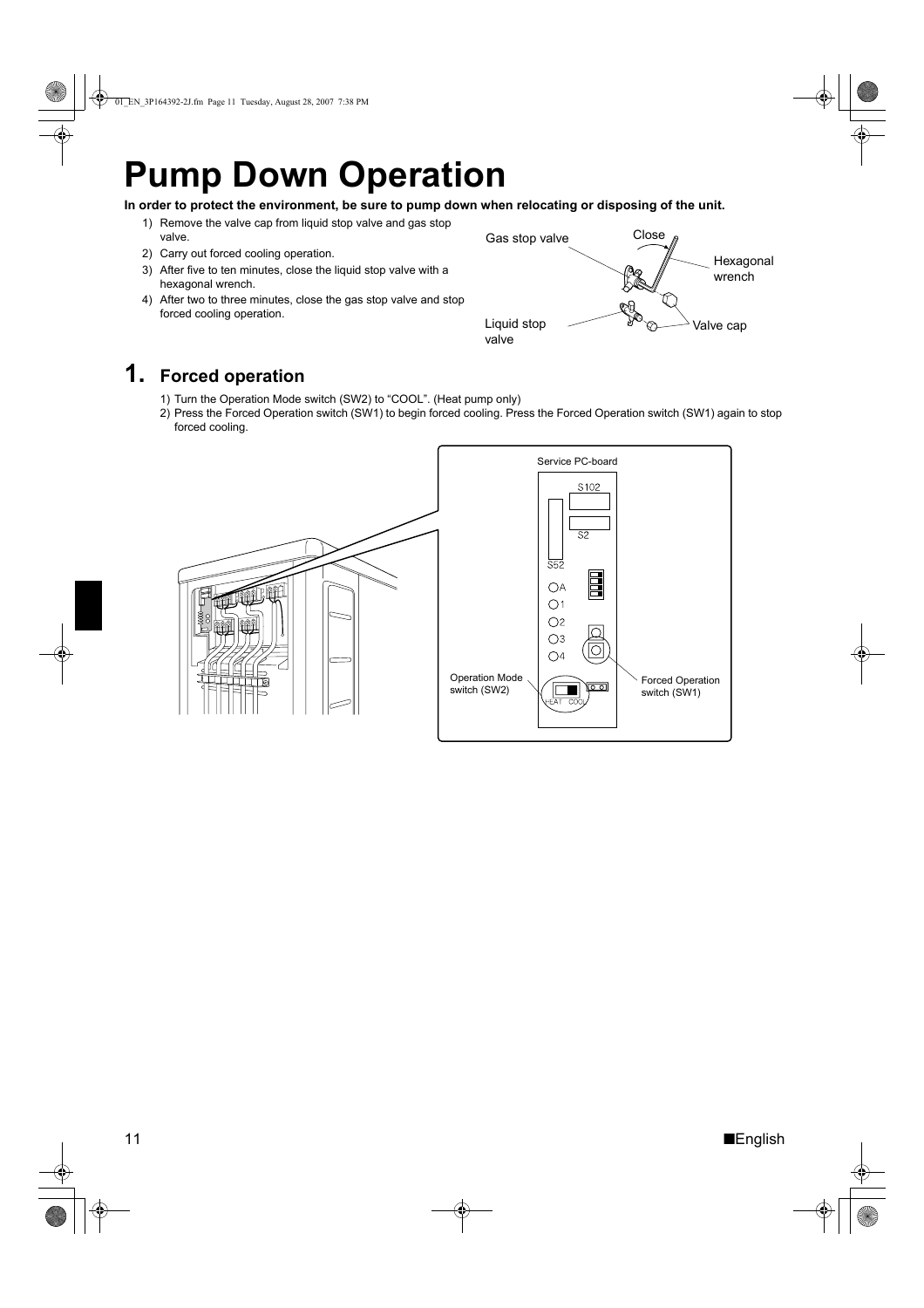# **Pump Down Operation**

- **In order to protect the environment, be sure to pump down when relocating or disposing of the unit.**
	- 1) Remove the valve cap from liquid stop valve and gas stop valve.
	- 2) Carry out forced cooling operation.
	- 3) After five to ten minutes, close the liquid stop valve with a hexagonal wrench.
	- 4) After two to three minutes, close the gas stop valve and stop forced cooling operation.



## **1. Forced operation**

- 1) Turn the Operation Mode switch (SW2) to "COOL". (Heat pump only)
- 2) Press the Forced Operation switch (SW1) to begin forced cooling. Press the Forced Operation switch (SW1) again to stop forced cooling.

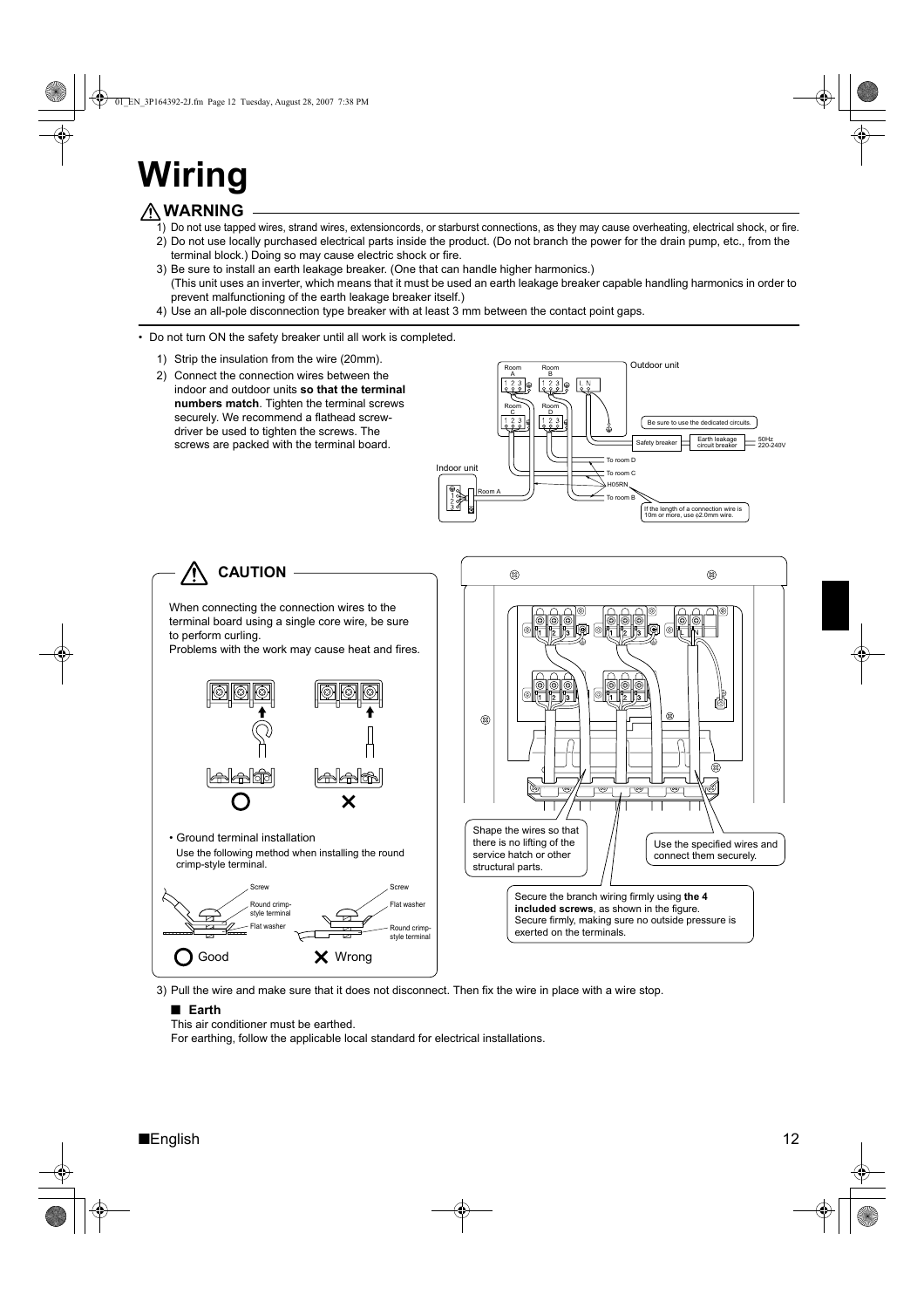# **Wiring**

## **WARNING**

- 1) Do not use tapped wires, strand wires, extensioncords, or starburst connections, as they may cause overheating, electrical shock, or fire. 2) Do not use locally purchased electrical parts inside the product. (Do not branch the power for the drain pump, etc., from the
- terminal block.) Doing so may cause electric shock or fire.
- 3) Be sure to install an earth leakage breaker. (One that can handle higher harmonics.) (This unit uses an inverter, which means that it must be used an earth leakage breaker capable handling harmonics in order to prevent malfunctioning of the earth leakage breaker itself.)
- 4) Use an all-pole disconnection type breaker with at least 3 mm between the contact point gaps.

#### • Do not turn ON the safety breaker until all work is completed.

- 1) Strip the insulation from the wire (20mm).
- 2) Connect the connection wires between the indoor and outdoor units **so that the terminal numbers match**. Tighten the terminal screws securely. We recommend a flathead screwdriver be used to tighten the screws. The screws are packed with the terminal board.





3) Pull the wire and make sure that it does not disconnect. Then fix the wire in place with a wire stop.

#### ■ **Earth**

This air conditioner must be earthed.

For earthing, follow the applicable local standard for electrical installations.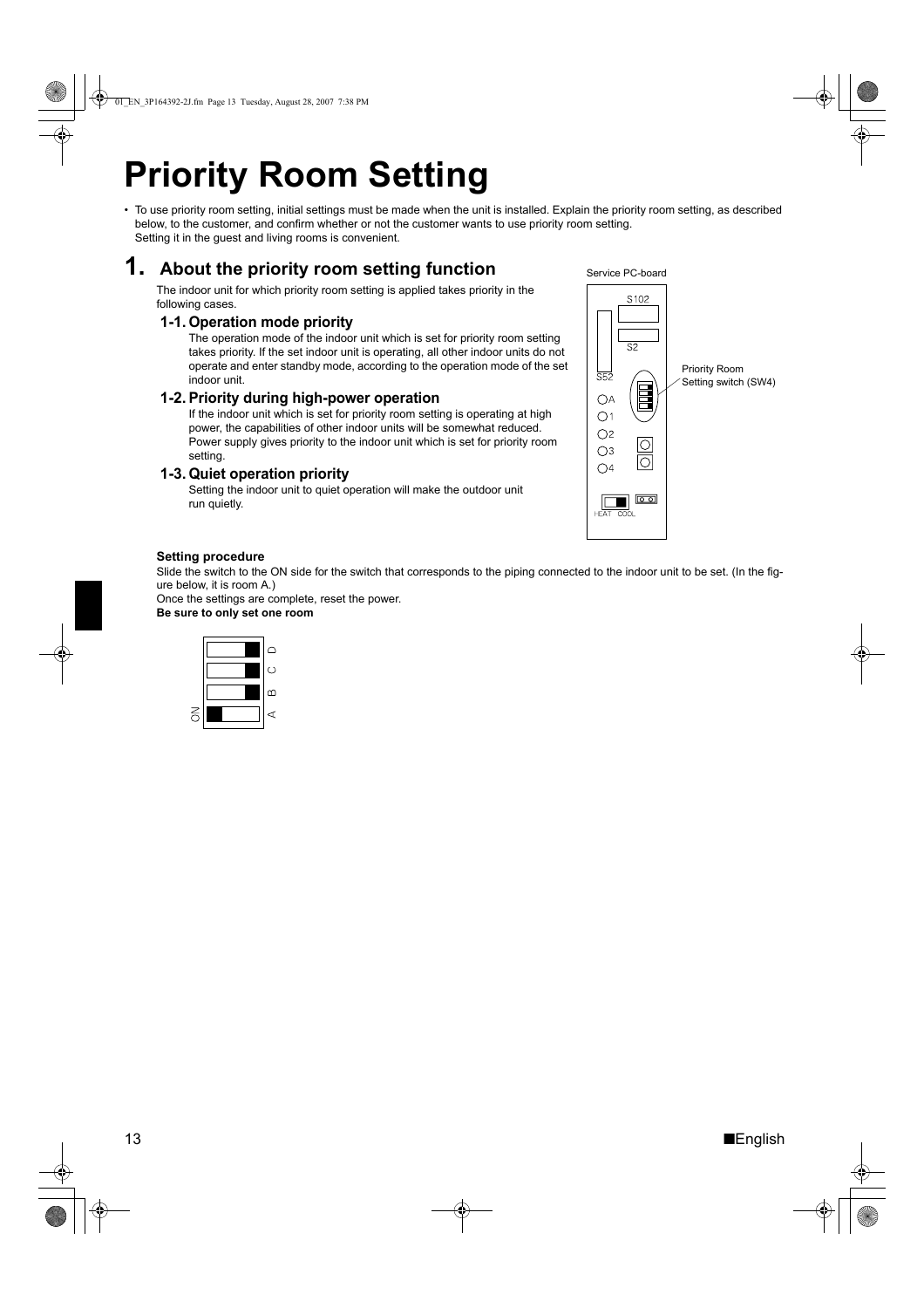# **Priority Room Setting**

• To use priority room setting, initial settings must be made when the unit is installed. Explain the priority room setting, as described below, to the customer, and confirm whether or not the customer wants to use priority room setting. Setting it in the guest and living rooms is convenient.

## **1. About the priority room setting function**

The indoor unit for which priority room setting is applied takes priority in the following cases.

### **1-1. Operation mode priority**

The operation mode of the indoor unit which is set for priority room setting takes priority. If the set indoor unit is operating, all other indoor units do not operate and enter standby mode, according to the operation mode of the set indoor unit.

### **1-2. Priority during high-power operation**

If the indoor unit which is set for priority room setting is operating at high power, the capabilities of other indoor units will be somewhat reduced. Power supply gives priority to the indoor unit which is set for priority room setting.

### **1-3. Quiet operation priority**

Setting the indoor unit to quiet operation will make the outdoor unit run quietly.



### **Setting procedure**

Slide the switch to the ON side for the switch that corresponds to the piping connected to the indoor unit to be set. (In the figure below, it is room A.)

Once the settings are complete, reset the power. **Be sure to only set one room**



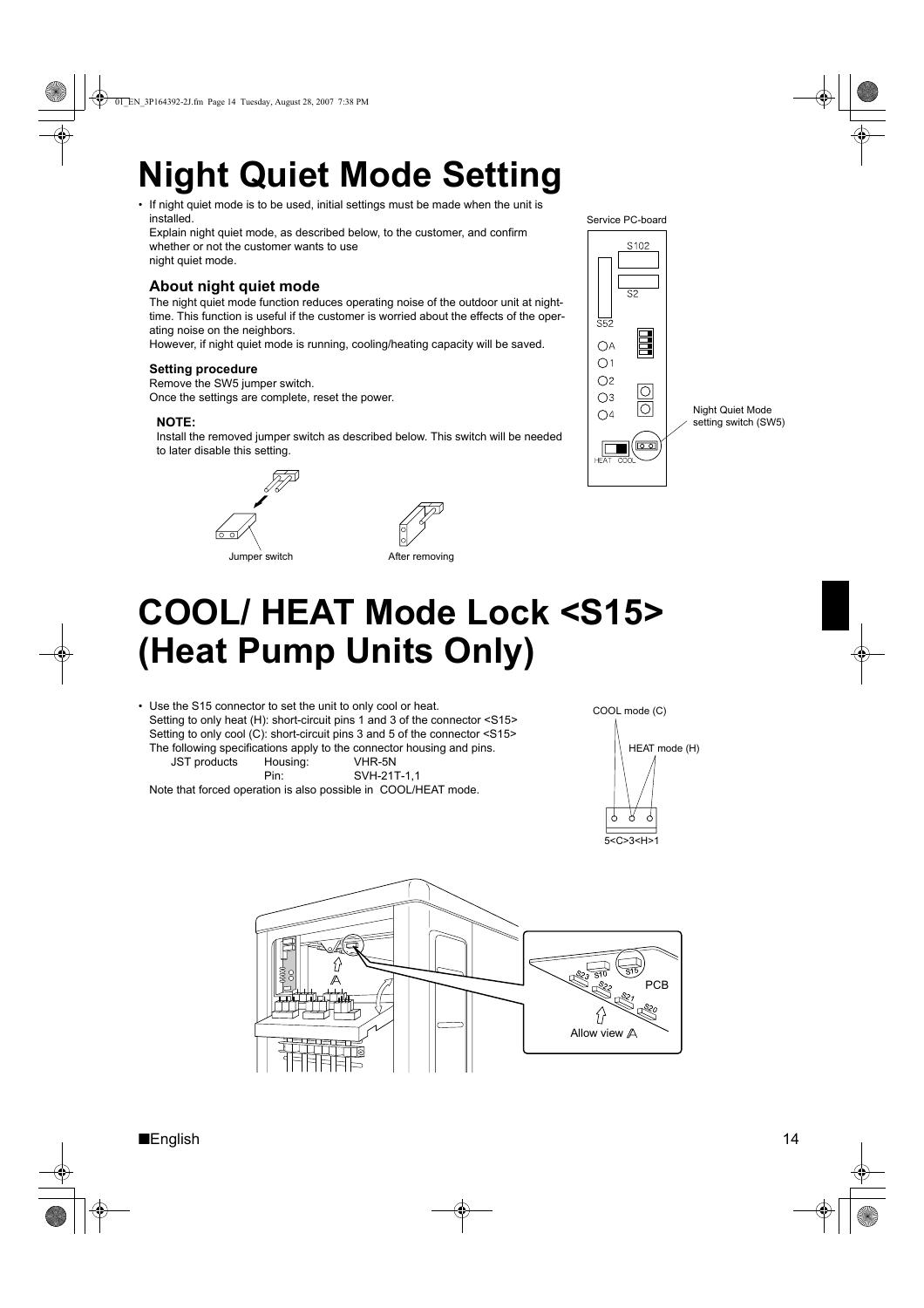# **Night Quiet Mode Setting**

• If night quiet mode is to be used, initial settings must be made when the unit is installed.

Explain night quiet mode, as described below, to the customer, and confirm whether or not the customer wants to use night quiet mode.

### **About night quiet mode**

The night quiet mode function reduces operating noise of the outdoor unit at nighttime. This function is useful if the customer is worried about the effects of the operating noise on the neighbors.

However, if night quiet mode is running, cooling/heating capacity will be saved.

### **Setting procedure**

Remove the SW5 jumper switch.

Once the settings are complete, reset the power.

### **NOTE:**

Install the removed jumper switch as described below. This switch will be needed to later disable this setting.





Jumper switch **After removing** 





# **COOL/ HEAT Mode Lock <S15> (Heat Pump Units Only)**

• Use the S15 connector to set the unit to only cool or heat. Setting to only heat (H): short-circuit pins 1 and 3 of the connector <S15> Setting to only cool (C): short-circuit pins 3 and 5 of the connector <S15> The following specifications apply to the connector housing and pins. JST products Housing: VHR-5N

Pin: SVH-21T-1,1 Note that forced operation is also possible in COOL/HEAT mode.



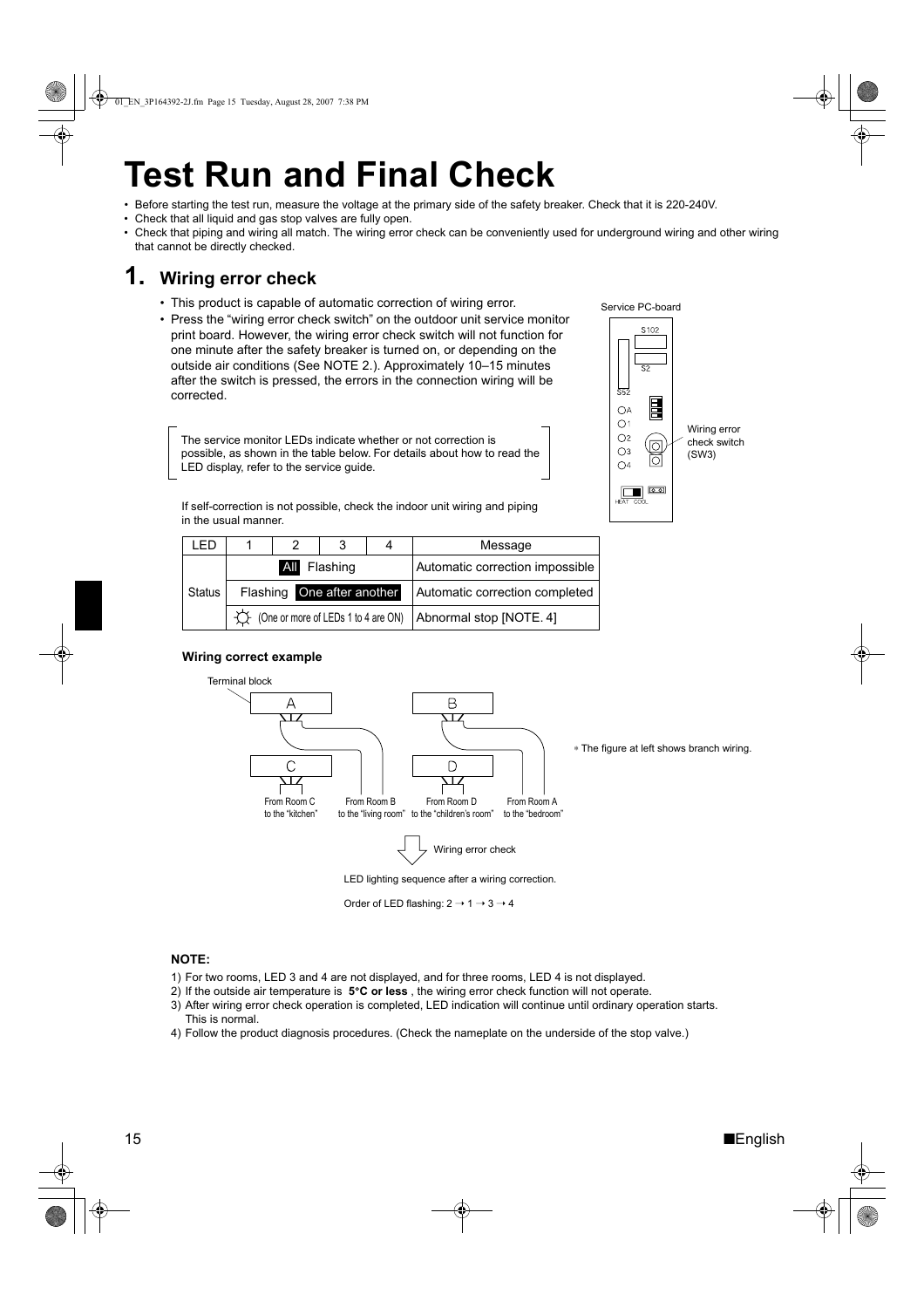# **Test Run and Final Check**

• Before starting the test run, measure the voltage at the primary side of the safety breaker. Check that it is 220-240V.

- Check that all liquid and gas stop valves are fully open.
- Check that piping and wiring all match. The wiring error check can be conveniently used for underground wiring and other wiring that cannot be directly checked.

## **1. Wiring error check**

- This product is capable of automatic correction of wiring error.
- Press the "wiring error check switch" on the outdoor unit service monitor print board. However, the wiring error check switch will not function for one minute after the safety breaker is turned on, or depending on the outside air conditions (See NOTE 2.). Approximately 10–15 minutes after the switch is pressed, the errors in the connection wiring will be corrected.

The service monitor LEDs indicate whether or not correction is possible, as shown in the table below. For details about how to read the LED display, refer to the service guide.

If self-correction is not possible, check the indoor unit wiring and piping in the usual manner.

|              |                            |  |                                     |                                 | Message                 |
|--------------|----------------------------|--|-------------------------------------|---------------------------------|-------------------------|
| All Flashing |                            |  |                                     | Automatic correction impossible |                         |
| Status       | Flashing One after another |  | Automatic correction completed      |                                 |                         |
|              |                            |  | (One or more of LEDs 1 to 4 are ON) |                                 | Abnormal stop [NOTE. 4] |

### **Wiring correct example**



Order of LED flashing:  $2 \rightarrow 1 \rightarrow 3 \rightarrow 4$ 

#### **NOTE:**

- 1) For two rooms, LED 3 and 4 are not displayed, and for three rooms, LED 4 is not displayed.
- 2) If the outside air temperature is **5**°**C or less** , the wiring error check function will not operate.
- 3) After wiring error check operation is completed, LED indication will continue until ordinary operation starts. This is normal.
- 4) Follow the product diagnosis procedures. (Check the nameplate on the underside of the stop valve.)



Service PC-board

 $$102$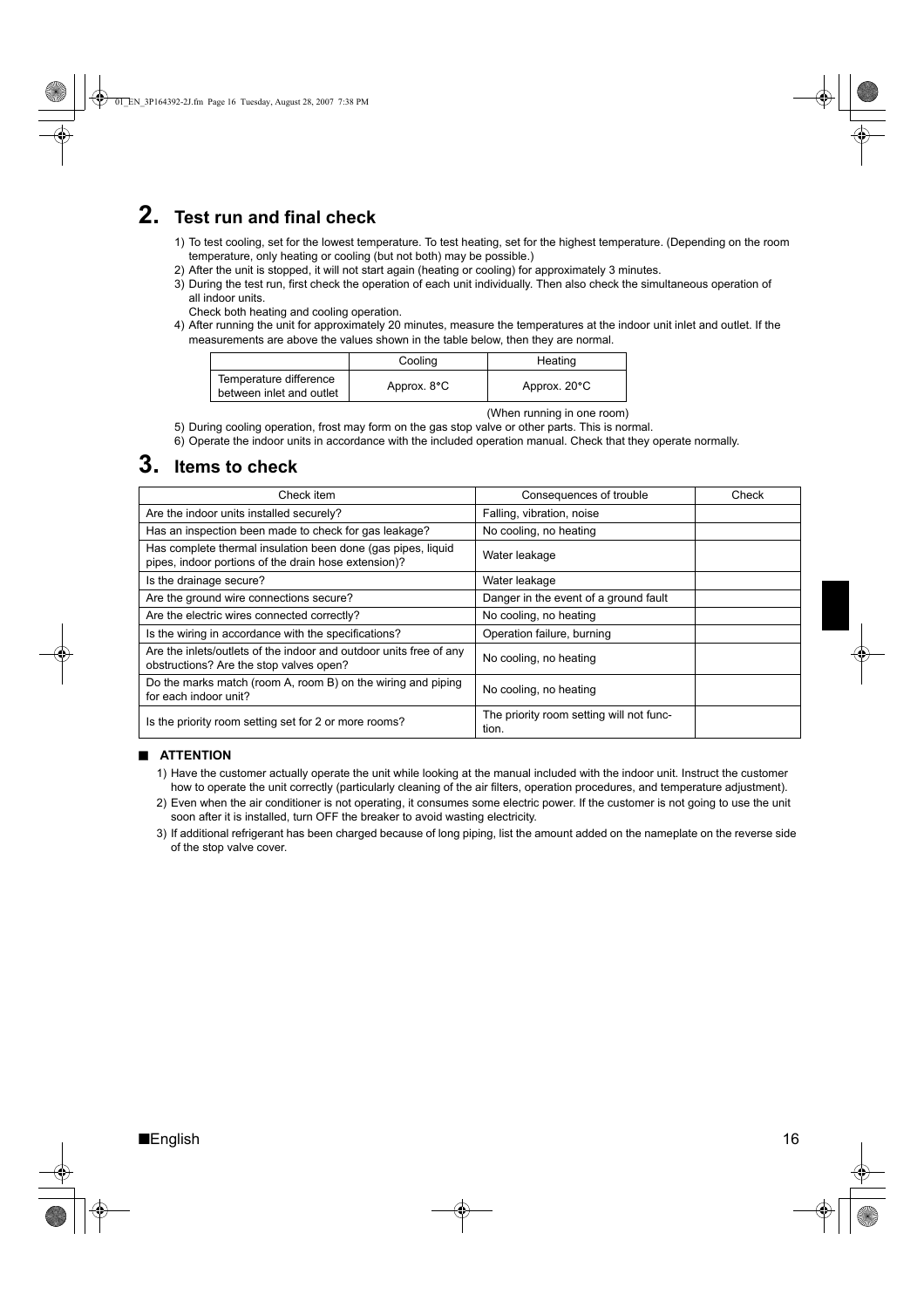## **2. Test run and final check**

- 1) To test cooling, set for the lowest temperature. To test heating, set for the highest temperature. (Depending on the room temperature, only heating or cooling (but not both) may be possible.)
- 2) After the unit is stopped, it will not start again (heating or cooling) for approximately 3 minutes.
- 3) During the test run, first check the operation of each unit individually. Then also check the simultaneous operation of all indoor units.
	- Check both heating and cooling operation.
- 4) After running the unit for approximately 20 minutes, measure the temperatures at the indoor unit inlet and outlet. If the measurements are above the values shown in the table below, then they are normal.

|                                                    | Cooling     | Heating      |
|----------------------------------------------------|-------------|--------------|
| Temperature difference<br>between inlet and outlet | Approx. 8°C | Approx. 20°C |

(When running in one room)

- 5) During cooling operation, frost may form on the gas stop valve or other parts. This is normal.
- 6) Operate the indoor units in accordance with the included operation manual. Check that they operate normally.

## **3. Items to check**

| Check item                                                                                                           | Consequences of trouble                           | Check |
|----------------------------------------------------------------------------------------------------------------------|---------------------------------------------------|-------|
| Are the indoor units installed securely?                                                                             | Falling, vibration, noise                         |       |
| Has an inspection been made to check for gas leakage?                                                                | No cooling, no heating                            |       |
| Has complete thermal insulation been done (gas pipes, liquid<br>pipes, indoor portions of the drain hose extension)? | Water leakage                                     |       |
| Is the drainage secure?                                                                                              | Water leakage                                     |       |
| Are the ground wire connections secure?                                                                              | Danger in the event of a ground fault             |       |
| Are the electric wires connected correctly?                                                                          | No cooling, no heating                            |       |
| Is the wiring in accordance with the specifications?                                                                 | Operation failure, burning                        |       |
| Are the inlets/outlets of the indoor and outdoor units free of any<br>obstructions? Are the stop valves open?        | No cooling, no heating                            |       |
| Do the marks match (room A, room B) on the wiring and piping<br>for each indoor unit?                                | No cooling, no heating                            |       |
| Is the priority room setting set for 2 or more rooms?                                                                | The priority room setting will not func-<br>tion. |       |

#### ■ **ATTENTION**

- 1) Have the customer actually operate the unit while looking at the manual included with the indoor unit. Instruct the customer how to operate the unit correctly (particularly cleaning of the air filters, operation procedures, and temperature adjustment).
- 2) Even when the air conditioner is not operating, it consumes some electric power. If the customer is not going to use the unit soon after it is installed, turn OFF the breaker to avoid wasting electricity.
- 3) If additional refrigerant has been charged because of long piping, list the amount added on the nameplate on the reverse side of the stop valve cover.